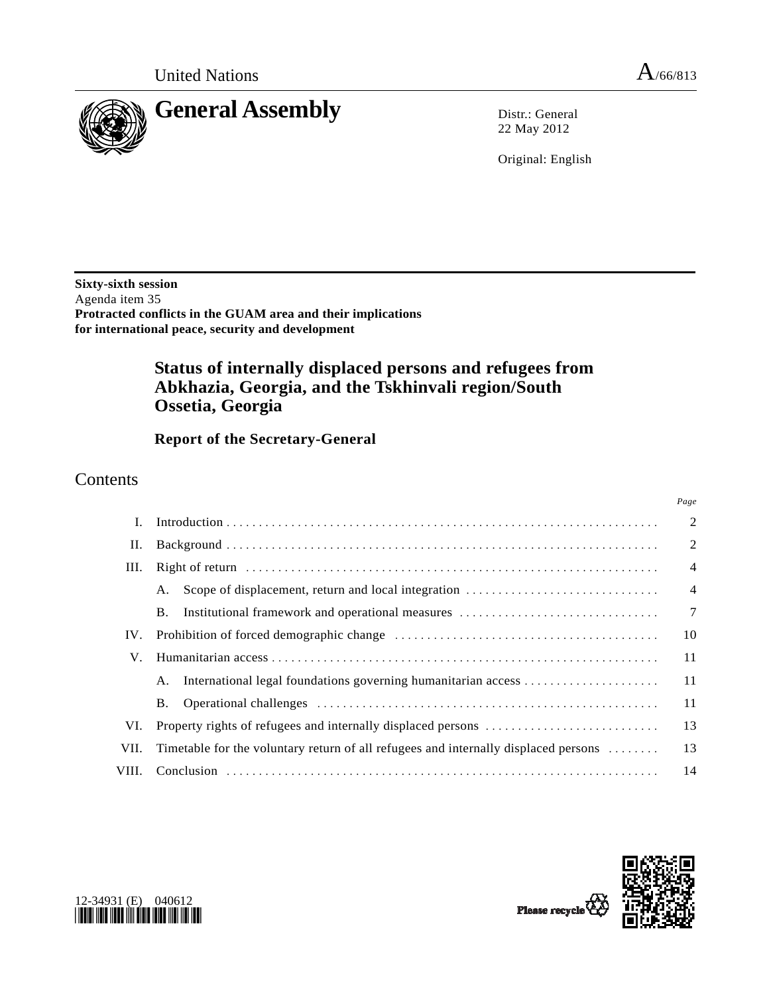*Page*



22 May 2012

Original: English

**Sixty-sixth session**  Agenda item 35 **Protracted conflicts in the GUAM area and their implications for international peace, security and development** 

# **Status of internally displaced persons and refugees from Abkhazia, Georgia, and the Tskhinvali region/South Ossetia, Georgia**

 **Report of the Secretary-General** 

## Contents

|       |                                                                                     | $\overline{2}$ |
|-------|-------------------------------------------------------------------------------------|----------------|
| П.    |                                                                                     | $\overline{2}$ |
| III.  |                                                                                     | $\overline{4}$ |
|       | A.                                                                                  | $\overline{4}$ |
|       | Institutional framework and operational measures<br><b>B.</b>                       | $\overline{7}$ |
| IV.   |                                                                                     | 10             |
| V.    |                                                                                     | 11             |
|       | International legal foundations governing humanitarian access<br>A.                 | 11             |
|       | B.                                                                                  | 11             |
| VI.   |                                                                                     | 13             |
| VII.  | Timetable for the voluntary return of all refugees and internally displaced persons | 13             |
| VIII. |                                                                                     | 14             |



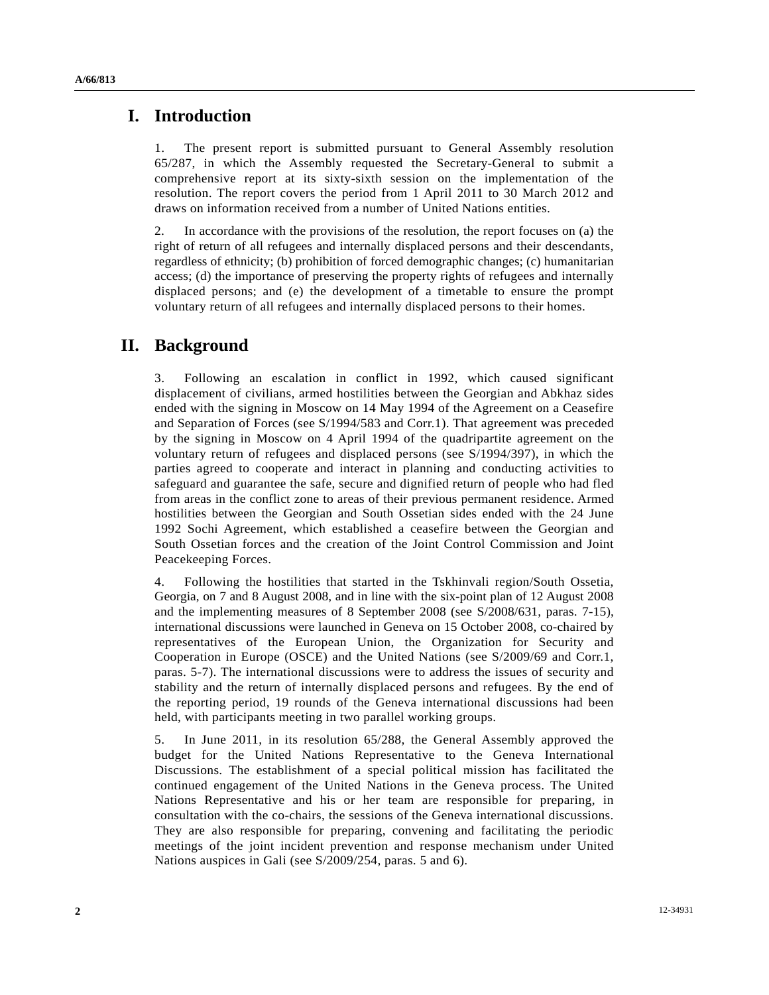### **I. Introduction**

1. The present report is submitted pursuant to General Assembly resolution 65/287, in which the Assembly requested the Secretary-General to submit a comprehensive report at its sixty-sixth session on the implementation of the resolution. The report covers the period from 1 April 2011 to 30 March 2012 and draws on information received from a number of United Nations entities.

2. In accordance with the provisions of the resolution, the report focuses on (a) the right of return of all refugees and internally displaced persons and their descendants, regardless of ethnicity; (b) prohibition of forced demographic changes; (c) humanitarian access; (d) the importance of preserving the property rights of refugees and internally displaced persons; and (e) the development of a timetable to ensure the prompt voluntary return of all refugees and internally displaced persons to their homes.

### **II. Background**

3. Following an escalation in conflict in 1992, which caused significant displacement of civilians, armed hostilities between the Georgian and Abkhaz sides ended with the signing in Moscow on 14 May 1994 of the Agreement on a Ceasefire and Separation of Forces (see S/1994/583 and Corr.1). That agreement was preceded by the signing in Moscow on 4 April 1994 of the quadripartite agreement on the voluntary return of refugees and displaced persons (see S/1994/397), in which the parties agreed to cooperate and interact in planning and conducting activities to safeguard and guarantee the safe, secure and dignified return of people who had fled from areas in the conflict zone to areas of their previous permanent residence. Armed hostilities between the Georgian and South Ossetian sides ended with the 24 June 1992 Sochi Agreement, which established a ceasefire between the Georgian and South Ossetian forces and the creation of the Joint Control Commission and Joint Peacekeeping Forces.

4. Following the hostilities that started in the Tskhinvali region/South Ossetia, Georgia, on 7 and 8 August 2008, and in line with the six-point plan of 12 August 2008 and the implementing measures of 8 September 2008 (see S/2008/631, paras. 7-15), international discussions were launched in Geneva on 15 October 2008, co-chaired by representatives of the European Union, the Organization for Security and Cooperation in Europe (OSCE) and the United Nations (see S/2009/69 and Corr.1, paras. 5-7). The international discussions were to address the issues of security and stability and the return of internally displaced persons and refugees. By the end of the reporting period, 19 rounds of the Geneva international discussions had been held, with participants meeting in two parallel working groups.

5. In June 2011, in its resolution 65/288, the General Assembly approved the budget for the United Nations Representative to the Geneva International Discussions. The establishment of a special political mission has facilitated the continued engagement of the United Nations in the Geneva process. The United Nations Representative and his or her team are responsible for preparing, in consultation with the co-chairs, the sessions of the Geneva international discussions. They are also responsible for preparing, convening and facilitating the periodic meetings of the joint incident prevention and response mechanism under United Nations auspices in Gali (see S/2009/254, paras. 5 and 6).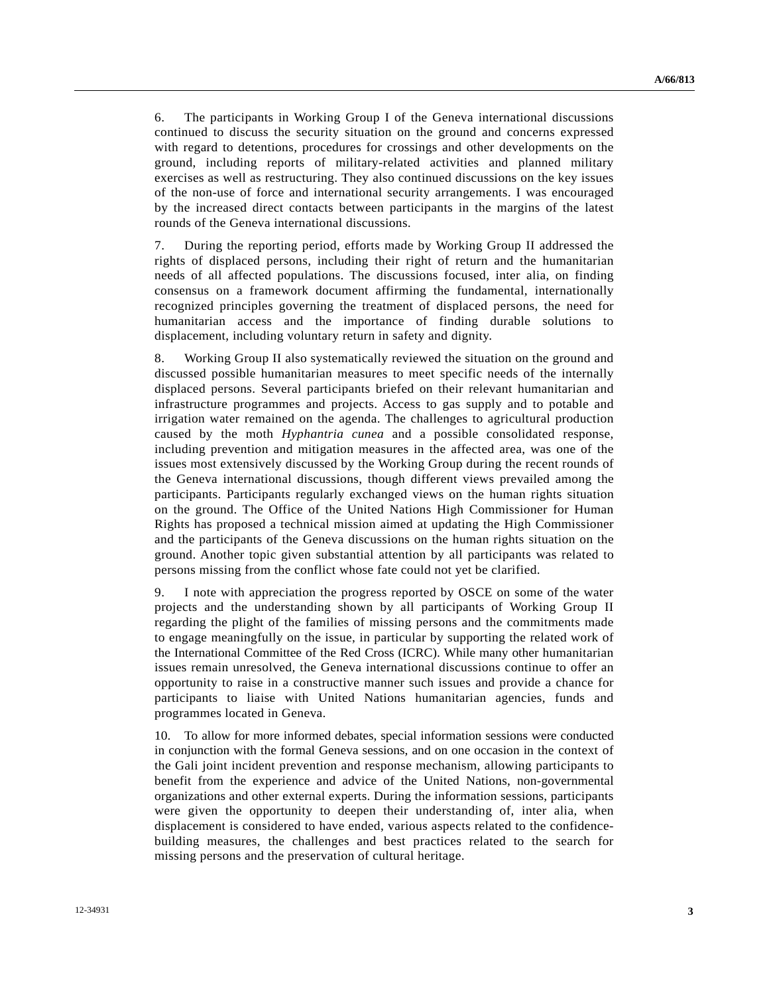6. The participants in Working Group I of the Geneva international discussions continued to discuss the security situation on the ground and concerns expressed with regard to detentions, procedures for crossings and other developments on the ground, including reports of military-related activities and planned military exercises as well as restructuring. They also continued discussions on the key issues of the non-use of force and international security arrangements. I was encouraged by the increased direct contacts between participants in the margins of the latest rounds of the Geneva international discussions.

7. During the reporting period, efforts made by Working Group II addressed the rights of displaced persons, including their right of return and the humanitarian needs of all affected populations. The discussions focused, inter alia, on finding consensus on a framework document affirming the fundamental, internationally recognized principles governing the treatment of displaced persons, the need for humanitarian access and the importance of finding durable solutions to displacement, including voluntary return in safety and dignity.

8. Working Group II also systematically reviewed the situation on the ground and discussed possible humanitarian measures to meet specific needs of the internally displaced persons. Several participants briefed on their relevant humanitarian and infrastructure programmes and projects. Access to gas supply and to potable and irrigation water remained on the agenda. The challenges to agricultural production caused by the moth *Hyphantria cunea* and a possible consolidated response, including prevention and mitigation measures in the affected area, was one of the issues most extensively discussed by the Working Group during the recent rounds of the Geneva international discussions, though different views prevailed among the participants. Participants regularly exchanged views on the human rights situation on the ground. The Office of the United Nations High Commissioner for Human Rights has proposed a technical mission aimed at updating the High Commissioner and the participants of the Geneva discussions on the human rights situation on the ground. Another topic given substantial attention by all participants was related to persons missing from the conflict whose fate could not yet be clarified.

9. I note with appreciation the progress reported by OSCE on some of the water projects and the understanding shown by all participants of Working Group II regarding the plight of the families of missing persons and the commitments made to engage meaningfully on the issue, in particular by supporting the related work of the International Committee of the Red Cross (ICRC). While many other humanitarian issues remain unresolved, the Geneva international discussions continue to offer an opportunity to raise in a constructive manner such issues and provide a chance for participants to liaise with United Nations humanitarian agencies, funds and programmes located in Geneva.

10. To allow for more informed debates, special information sessions were conducted in conjunction with the formal Geneva sessions, and on one occasion in the context of the Gali joint incident prevention and response mechanism, allowing participants to benefit from the experience and advice of the United Nations, non-governmental organizations and other external experts. During the information sessions, participants were given the opportunity to deepen their understanding of, inter alia, when displacement is considered to have ended, various aspects related to the confidencebuilding measures, the challenges and best practices related to the search for missing persons and the preservation of cultural heritage.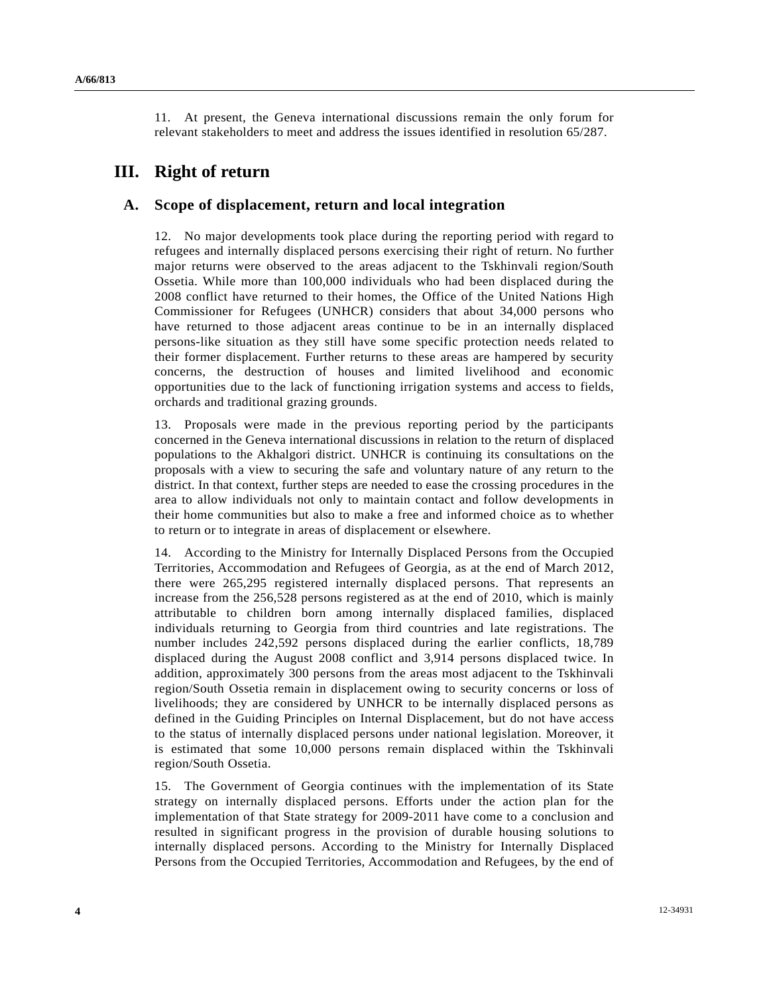11. At present, the Geneva international discussions remain the only forum for relevant stakeholders to meet and address the issues identified in resolution 65/287.

## **III. Right of return**

#### **A. Scope of displacement, return and local integration**

12. No major developments took place during the reporting period with regard to refugees and internally displaced persons exercising their right of return. No further major returns were observed to the areas adjacent to the Tskhinvali region/South Ossetia. While more than 100,000 individuals who had been displaced during the 2008 conflict have returned to their homes, the Office of the United Nations High Commissioner for Refugees (UNHCR) considers that about 34,000 persons who have returned to those adjacent areas continue to be in an internally displaced persons-like situation as they still have some specific protection needs related to their former displacement. Further returns to these areas are hampered by security concerns, the destruction of houses and limited livelihood and economic opportunities due to the lack of functioning irrigation systems and access to fields, orchards and traditional grazing grounds.

13. Proposals were made in the previous reporting period by the participants concerned in the Geneva international discussions in relation to the return of displaced populations to the Akhalgori district. UNHCR is continuing its consultations on the proposals with a view to securing the safe and voluntary nature of any return to the district. In that context, further steps are needed to ease the crossing procedures in the area to allow individuals not only to maintain contact and follow developments in their home communities but also to make a free and informed choice as to whether to return or to integrate in areas of displacement or elsewhere.

14. According to the Ministry for Internally Displaced Persons from the Occupied Territories, Accommodation and Refugees of Georgia, as at the end of March 2012, there were 265,295 registered internally displaced persons. That represents an increase from the 256,528 persons registered as at the end of 2010, which is mainly attributable to children born among internally displaced families, displaced individuals returning to Georgia from third countries and late registrations. The number includes 242,592 persons displaced during the earlier conflicts, 18,789 displaced during the August 2008 conflict and 3,914 persons displaced twice. In addition, approximately 300 persons from the areas most adjacent to the Tskhinvali region/South Ossetia remain in displacement owing to security concerns or loss of livelihoods; they are considered by UNHCR to be internally displaced persons as defined in the Guiding Principles on Internal Displacement, but do not have access to the status of internally displaced persons under national legislation. Moreover, it is estimated that some 10,000 persons remain displaced within the Tskhinvali region/South Ossetia.

15. The Government of Georgia continues with the implementation of its State strategy on internally displaced persons. Efforts under the action plan for the implementation of that State strategy for 2009-2011 have come to a conclusion and resulted in significant progress in the provision of durable housing solutions to internally displaced persons. According to the Ministry for Internally Displaced Persons from the Occupied Territories, Accommodation and Refugees, by the end of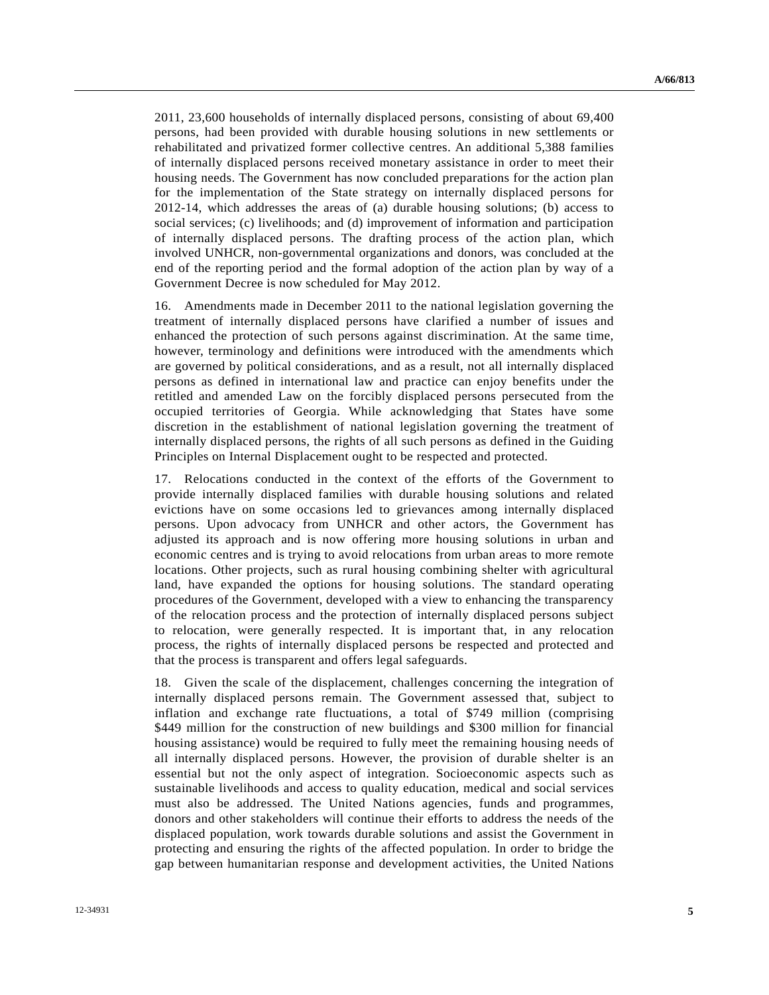2011, 23,600 households of internally displaced persons, consisting of about 69,400 persons, had been provided with durable housing solutions in new settlements or rehabilitated and privatized former collective centres. An additional 5,388 families of internally displaced persons received monetary assistance in order to meet their housing needs. The Government has now concluded preparations for the action plan for the implementation of the State strategy on internally displaced persons for 2012-14, which addresses the areas of (a) durable housing solutions; (b) access to social services; (c) livelihoods; and (d) improvement of information and participation of internally displaced persons. The drafting process of the action plan, which involved UNHCR, non-governmental organizations and donors, was concluded at the end of the reporting period and the formal adoption of the action plan by way of a Government Decree is now scheduled for May 2012.

16. Amendments made in December 2011 to the national legislation governing the treatment of internally displaced persons have clarified a number of issues and enhanced the protection of such persons against discrimination. At the same time, however, terminology and definitions were introduced with the amendments which are governed by political considerations, and as a result, not all internally displaced persons as defined in international law and practice can enjoy benefits under the retitled and amended Law on the forcibly displaced persons persecuted from the occupied territories of Georgia. While acknowledging that States have some discretion in the establishment of national legislation governing the treatment of internally displaced persons, the rights of all such persons as defined in the Guiding Principles on Internal Displacement ought to be respected and protected.

17. Relocations conducted in the context of the efforts of the Government to provide internally displaced families with durable housing solutions and related evictions have on some occasions led to grievances among internally displaced persons. Upon advocacy from UNHCR and other actors, the Government has adjusted its approach and is now offering more housing solutions in urban and economic centres and is trying to avoid relocations from urban areas to more remote locations. Other projects, such as rural housing combining shelter with agricultural land, have expanded the options for housing solutions. The standard operating procedures of the Government, developed with a view to enhancing the transparency of the relocation process and the protection of internally displaced persons subject to relocation, were generally respected. It is important that, in any relocation process, the rights of internally displaced persons be respected and protected and that the process is transparent and offers legal safeguards.

18. Given the scale of the displacement, challenges concerning the integration of internally displaced persons remain. The Government assessed that, subject to inflation and exchange rate fluctuations, a total of \$749 million (comprising \$449 million for the construction of new buildings and \$300 million for financial housing assistance) would be required to fully meet the remaining housing needs of all internally displaced persons. However, the provision of durable shelter is an essential but not the only aspect of integration. Socioeconomic aspects such as sustainable livelihoods and access to quality education, medical and social services must also be addressed. The United Nations agencies, funds and programmes, donors and other stakeholders will continue their efforts to address the needs of the displaced population, work towards durable solutions and assist the Government in protecting and ensuring the rights of the affected population. In order to bridge the gap between humanitarian response and development activities, the United Nations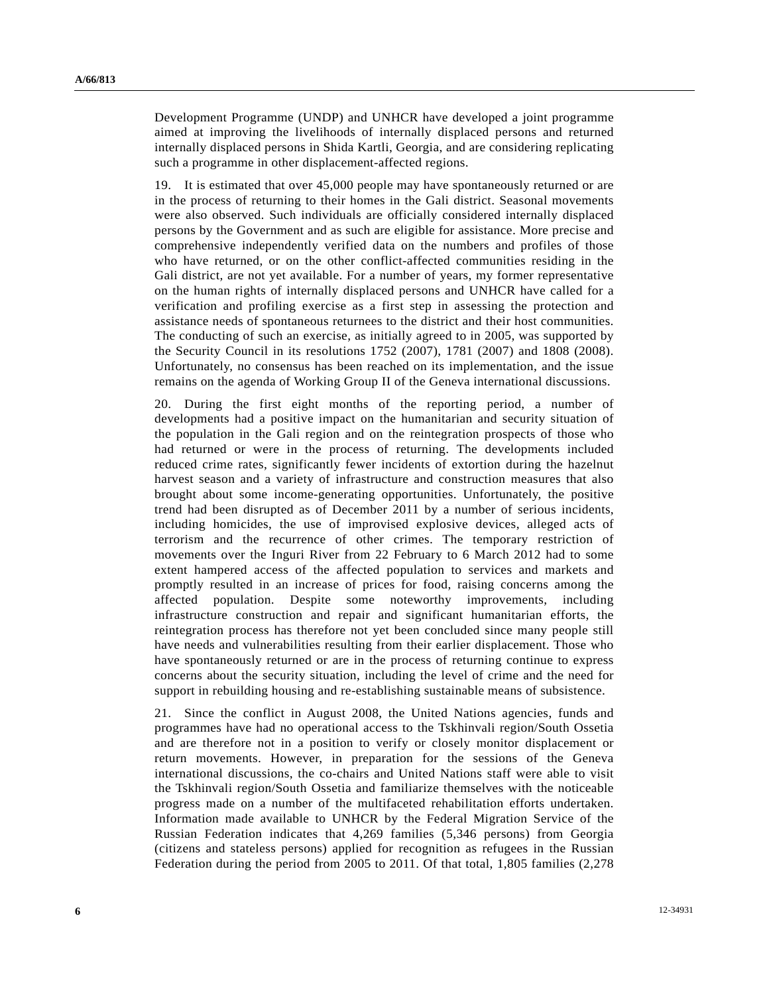Development Programme (UNDP) and UNHCR have developed a joint programme aimed at improving the livelihoods of internally displaced persons and returned internally displaced persons in Shida Kartli, Georgia, and are considering replicating such a programme in other displacement-affected regions.

19. It is estimated that over 45,000 people may have spontaneously returned or are in the process of returning to their homes in the Gali district. Seasonal movements were also observed. Such individuals are officially considered internally displaced persons by the Government and as such are eligible for assistance. More precise and comprehensive independently verified data on the numbers and profiles of those who have returned, or on the other conflict-affected communities residing in the Gali district, are not yet available. For a number of years, my former representative on the human rights of internally displaced persons and UNHCR have called for a verification and profiling exercise as a first step in assessing the protection and assistance needs of spontaneous returnees to the district and their host communities. The conducting of such an exercise, as initially agreed to in 2005, was supported by the Security Council in its resolutions 1752 (2007), 1781 (2007) and 1808 (2008). Unfortunately, no consensus has been reached on its implementation, and the issue remains on the agenda of Working Group II of the Geneva international discussions.

20. During the first eight months of the reporting period, a number of developments had a positive impact on the humanitarian and security situation of the population in the Gali region and on the reintegration prospects of those who had returned or were in the process of returning. The developments included reduced crime rates, significantly fewer incidents of extortion during the hazelnut harvest season and a variety of infrastructure and construction measures that also brought about some income-generating opportunities. Unfortunately, the positive trend had been disrupted as of December 2011 by a number of serious incidents, including homicides, the use of improvised explosive devices, alleged acts of terrorism and the recurrence of other crimes. The temporary restriction of movements over the Inguri River from 22 February to 6 March 2012 had to some extent hampered access of the affected population to services and markets and promptly resulted in an increase of prices for food, raising concerns among the affected population. Despite some noteworthy improvements, including infrastructure construction and repair and significant humanitarian efforts, the reintegration process has therefore not yet been concluded since many people still have needs and vulnerabilities resulting from their earlier displacement. Those who have spontaneously returned or are in the process of returning continue to express concerns about the security situation, including the level of crime and the need for support in rebuilding housing and re-establishing sustainable means of subsistence.

21. Since the conflict in August 2008, the United Nations agencies, funds and programmes have had no operational access to the Tskhinvali region/South Ossetia and are therefore not in a position to verify or closely monitor displacement or return movements. However, in preparation for the sessions of the Geneva international discussions, the co-chairs and United Nations staff were able to visit the Tskhinvali region/South Ossetia and familiarize themselves with the noticeable progress made on a number of the multifaceted rehabilitation efforts undertaken. Information made available to UNHCR by the Federal Migration Service of the Russian Federation indicates that 4,269 families (5,346 persons) from Georgia (citizens and stateless persons) applied for recognition as refugees in the Russian Federation during the period from 2005 to 2011. Of that total, 1,805 families (2,278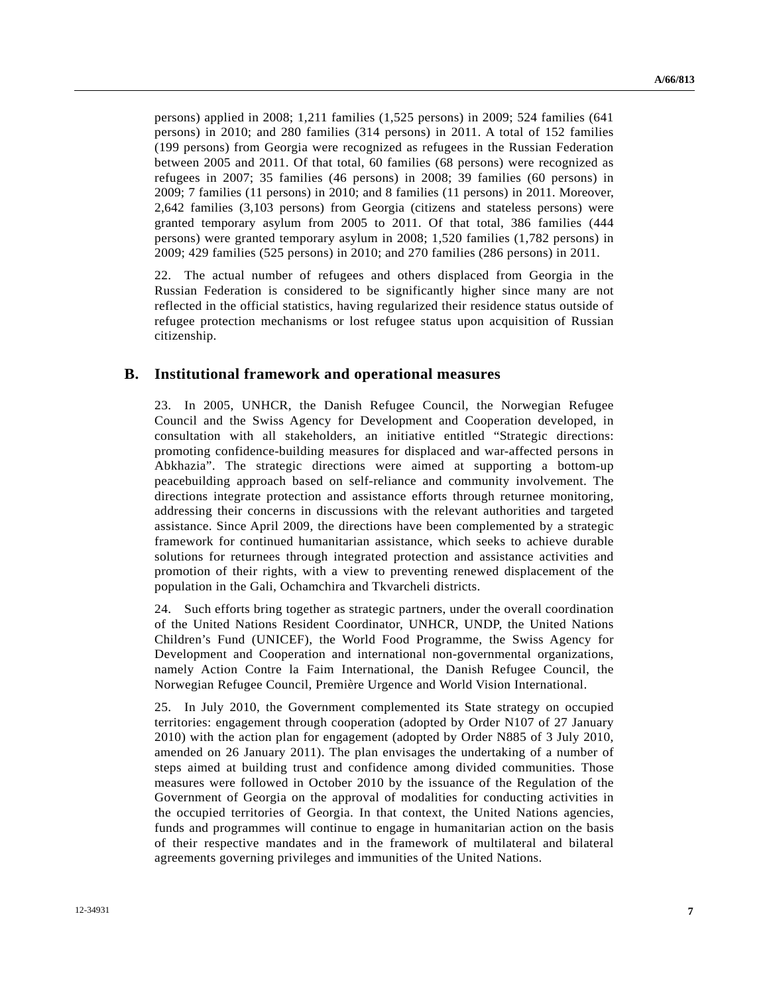persons) applied in 2008; 1,211 families (1,525 persons) in 2009; 524 families (641 persons) in 2010; and 280 families (314 persons) in 2011. A total of 152 families (199 persons) from Georgia were recognized as refugees in the Russian Federation between 2005 and 2011. Of that total, 60 families (68 persons) were recognized as refugees in 2007; 35 families (46 persons) in 2008; 39 families (60 persons) in 2009; 7 families (11 persons) in 2010; and 8 families (11 persons) in 2011. Moreover, 2,642 families (3,103 persons) from Georgia (citizens and stateless persons) were granted temporary asylum from 2005 to 2011. Of that total, 386 families (444 persons) were granted temporary asylum in 2008; 1,520 families (1,782 persons) in 2009; 429 families (525 persons) in 2010; and 270 families (286 persons) in 2011.

22. The actual number of refugees and others displaced from Georgia in the Russian Federation is considered to be significantly higher since many are not reflected in the official statistics, having regularized their residence status outside of refugee protection mechanisms or lost refugee status upon acquisition of Russian citizenship.

#### **B. Institutional framework and operational measures**

23. In 2005, UNHCR, the Danish Refugee Council, the Norwegian Refugee Council and the Swiss Agency for Development and Cooperation developed, in consultation with all stakeholders, an initiative entitled "Strategic directions: promoting confidence-building measures for displaced and war-affected persons in Abkhazia". The strategic directions were aimed at supporting a bottom-up peacebuilding approach based on self-reliance and community involvement. The directions integrate protection and assistance efforts through returnee monitoring, addressing their concerns in discussions with the relevant authorities and targeted assistance. Since April 2009, the directions have been complemented by a strategic framework for continued humanitarian assistance, which seeks to achieve durable solutions for returnees through integrated protection and assistance activities and promotion of their rights, with a view to preventing renewed displacement of the population in the Gali, Ochamchira and Tkvarcheli districts.

24. Such efforts bring together as strategic partners, under the overall coordination of the United Nations Resident Coordinator, UNHCR, UNDP, the United Nations Children's Fund (UNICEF), the World Food Programme, the Swiss Agency for Development and Cooperation and international non-governmental organizations, namely Action Contre la Faim International, the Danish Refugee Council, the Norwegian Refugee Council, Première Urgence and World Vision International.

25. In July 2010, the Government complemented its State strategy on occupied territories: engagement through cooperation (adopted by Order N107 of 27 January 2010) with the action plan for engagement (adopted by Order N885 of 3 July 2010, amended on 26 January 2011). The plan envisages the undertaking of a number of steps aimed at building trust and confidence among divided communities. Those measures were followed in October 2010 by the issuance of the Regulation of the Government of Georgia on the approval of modalities for conducting activities in the occupied territories of Georgia. In that context, the United Nations agencies, funds and programmes will continue to engage in humanitarian action on the basis of their respective mandates and in the framework of multilateral and bilateral agreements governing privileges and immunities of the United Nations.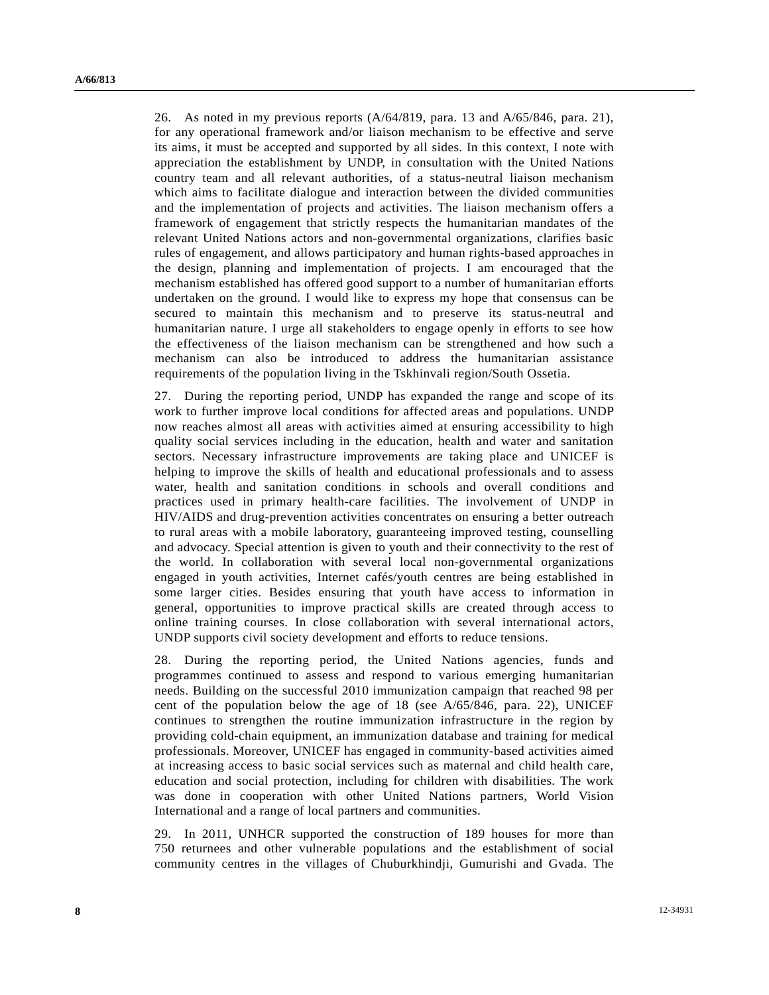26. As noted in my previous reports (A/64/819, para. 13 and A/65/846, para. 21), for any operational framework and/or liaison mechanism to be effective and serve its aims, it must be accepted and supported by all sides. In this context, I note with appreciation the establishment by UNDP, in consultation with the United Nations country team and all relevant authorities, of a status-neutral liaison mechanism which aims to facilitate dialogue and interaction between the divided communities and the implementation of projects and activities. The liaison mechanism offers a framework of engagement that strictly respects the humanitarian mandates of the relevant United Nations actors and non-governmental organizations, clarifies basic rules of engagement, and allows participatory and human rights-based approaches in the design, planning and implementation of projects. I am encouraged that the mechanism established has offered good support to a number of humanitarian efforts undertaken on the ground. I would like to express my hope that consensus can be secured to maintain this mechanism and to preserve its status-neutral and humanitarian nature. I urge all stakeholders to engage openly in efforts to see how the effectiveness of the liaison mechanism can be strengthened and how such a mechanism can also be introduced to address the humanitarian assistance requirements of the population living in the Tskhinvali region/South Ossetia.

27. During the reporting period, UNDP has expanded the range and scope of its work to further improve local conditions for affected areas and populations. UNDP now reaches almost all areas with activities aimed at ensuring accessibility to high quality social services including in the education, health and water and sanitation sectors. Necessary infrastructure improvements are taking place and UNICEF is helping to improve the skills of health and educational professionals and to assess water, health and sanitation conditions in schools and overall conditions and practices used in primary health-care facilities. The involvement of UNDP in HIV/AIDS and drug-prevention activities concentrates on ensuring a better outreach to rural areas with a mobile laboratory, guaranteeing improved testing, counselling and advocacy. Special attention is given to youth and their connectivity to the rest of the world. In collaboration with several local non-governmental organizations engaged in youth activities, Internet cafés/youth centres are being established in some larger cities. Besides ensuring that youth have access to information in general, opportunities to improve practical skills are created through access to online training courses. In close collaboration with several international actors, UNDP supports civil society development and efforts to reduce tensions.

28. During the reporting period, the United Nations agencies, funds and programmes continued to assess and respond to various emerging humanitarian needs. Building on the successful 2010 immunization campaign that reached 98 per cent of the population below the age of 18 (see A/65/846, para. 22), UNICEF continues to strengthen the routine immunization infrastructure in the region by providing cold-chain equipment, an immunization database and training for medical professionals. Moreover, UNICEF has engaged in community-based activities aimed at increasing access to basic social services such as maternal and child health care, education and social protection, including for children with disabilities. The work was done in cooperation with other United Nations partners, World Vision International and a range of local partners and communities.

29. In 2011, UNHCR supported the construction of 189 houses for more than 750 returnees and other vulnerable populations and the establishment of social community centres in the villages of Chuburkhindji, Gumurishi and Gvada. The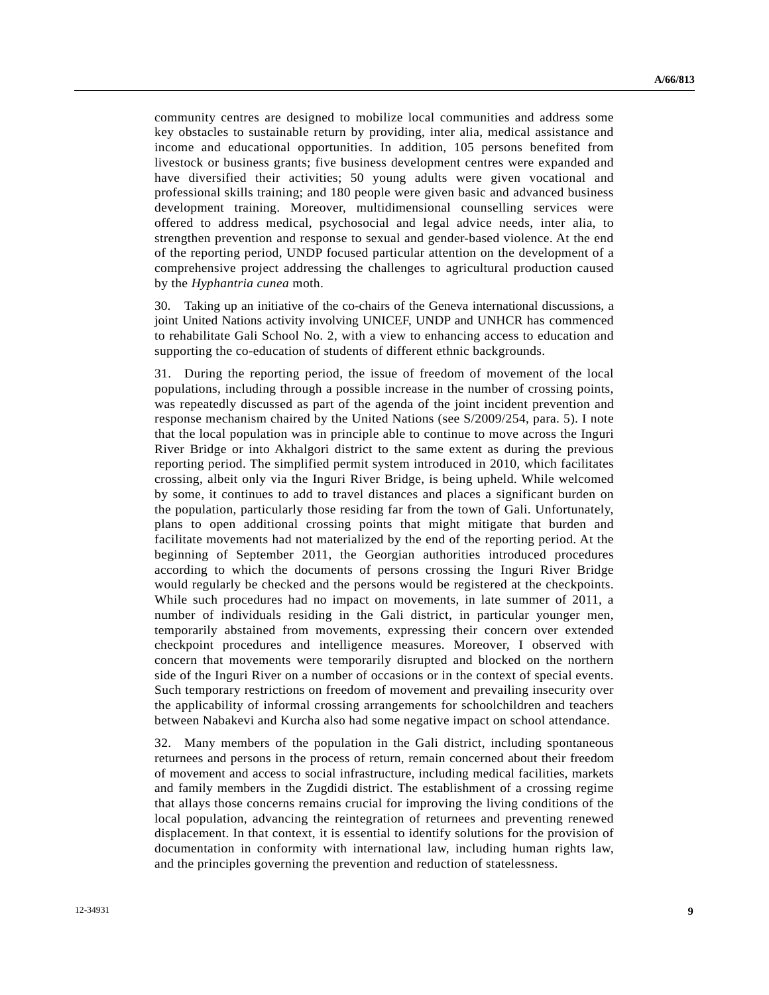community centres are designed to mobilize local communities and address some key obstacles to sustainable return by providing, inter alia, medical assistance and income and educational opportunities. In addition, 105 persons benefited from livestock or business grants; five business development centres were expanded and have diversified their activities; 50 young adults were given vocational and professional skills training; and 180 people were given basic and advanced business development training. Moreover, multidimensional counselling services were offered to address medical, psychosocial and legal advice needs, inter alia, to strengthen prevention and response to sexual and gender-based violence. At the end of the reporting period, UNDP focused particular attention on the development of a comprehensive project addressing the challenges to agricultural production caused by the *Hyphantria cunea* moth.

30. Taking up an initiative of the co-chairs of the Geneva international discussions, a joint United Nations activity involving UNICEF, UNDP and UNHCR has commenced to rehabilitate Gali School No. 2, with a view to enhancing access to education and supporting the co-education of students of different ethnic backgrounds.

31. During the reporting period, the issue of freedom of movement of the local populations, including through a possible increase in the number of crossing points, was repeatedly discussed as part of the agenda of the joint incident prevention and response mechanism chaired by the United Nations (see S/2009/254, para. 5). I note that the local population was in principle able to continue to move across the Inguri River Bridge or into Akhalgori district to the same extent as during the previous reporting period. The simplified permit system introduced in 2010, which facilitates crossing, albeit only via the Inguri River Bridge, is being upheld. While welcomed by some, it continues to add to travel distances and places a significant burden on the population, particularly those residing far from the town of Gali. Unfortunately, plans to open additional crossing points that might mitigate that burden and facilitate movements had not materialized by the end of the reporting period. At the beginning of September 2011, the Georgian authorities introduced procedures according to which the documents of persons crossing the Inguri River Bridge would regularly be checked and the persons would be registered at the checkpoints. While such procedures had no impact on movements, in late summer of 2011, a number of individuals residing in the Gali district, in particular younger men, temporarily abstained from movements, expressing their concern over extended checkpoint procedures and intelligence measures. Moreover, I observed with concern that movements were temporarily disrupted and blocked on the northern side of the Inguri River on a number of occasions or in the context of special events. Such temporary restrictions on freedom of movement and prevailing insecurity over the applicability of informal crossing arrangements for schoolchildren and teachers between Nabakevi and Kurcha also had some negative impact on school attendance.

32. Many members of the population in the Gali district, including spontaneous returnees and persons in the process of return, remain concerned about their freedom of movement and access to social infrastructure, including medical facilities, markets and family members in the Zugdidi district. The establishment of a crossing regime that allays those concerns remains crucial for improving the living conditions of the local population, advancing the reintegration of returnees and preventing renewed displacement. In that context, it is essential to identify solutions for the provision of documentation in conformity with international law, including human rights law, and the principles governing the prevention and reduction of statelessness.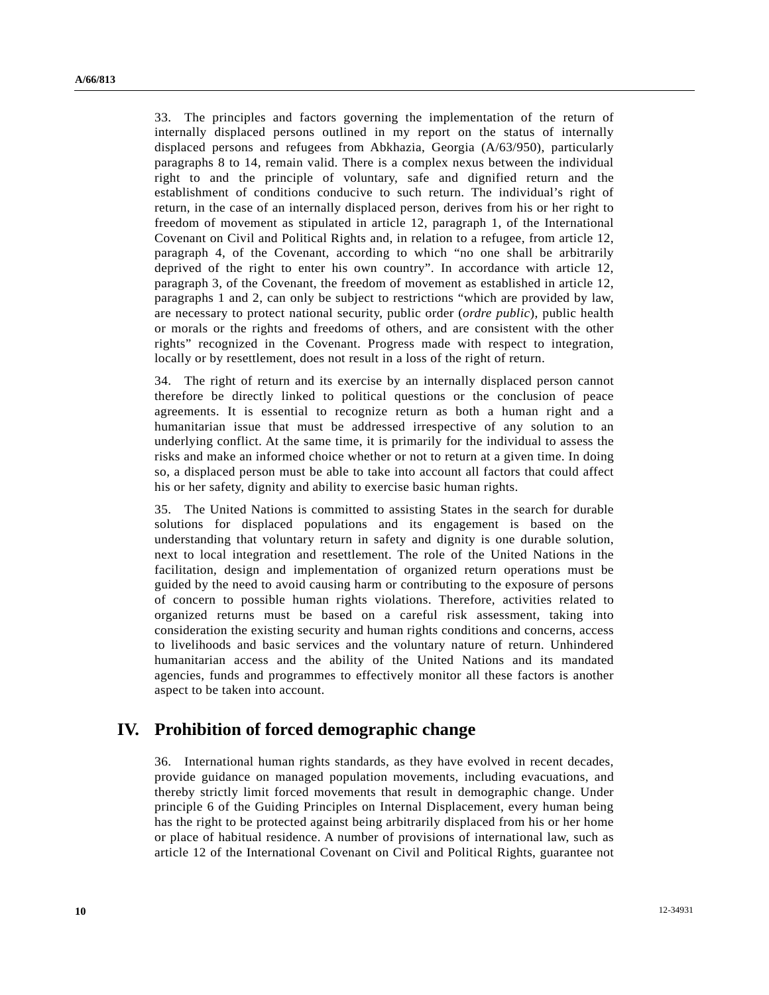33. The principles and factors governing the implementation of the return of internally displaced persons outlined in my report on the status of internally displaced persons and refugees from Abkhazia, Georgia (A/63/950), particularly paragraphs 8 to 14, remain valid. There is a complex nexus between the individual right to and the principle of voluntary, safe and dignified return and the establishment of conditions conducive to such return. The individual's right of return, in the case of an internally displaced person, derives from his or her right to freedom of movement as stipulated in article 12, paragraph 1, of the International Covenant on Civil and Political Rights and, in relation to a refugee, from article 12, paragraph 4, of the Covenant, according to which "no one shall be arbitrarily deprived of the right to enter his own country". In accordance with article 12, paragraph 3, of the Covenant, the freedom of movement as established in article 12, paragraphs 1 and 2, can only be subject to restrictions "which are provided by law, are necessary to protect national security, public order (*ordre public*), public health or morals or the rights and freedoms of others, and are consistent with the other rights" recognized in the Covenant. Progress made with respect to integration, locally or by resettlement, does not result in a loss of the right of return.

34. The right of return and its exercise by an internally displaced person cannot therefore be directly linked to political questions or the conclusion of peace agreements. It is essential to recognize return as both a human right and a humanitarian issue that must be addressed irrespective of any solution to an underlying conflict. At the same time, it is primarily for the individual to assess the risks and make an informed choice whether or not to return at a given time. In doing so, a displaced person must be able to take into account all factors that could affect his or her safety, dignity and ability to exercise basic human rights.

35. The United Nations is committed to assisting States in the search for durable solutions for displaced populations and its engagement is based on the understanding that voluntary return in safety and dignity is one durable solution, next to local integration and resettlement. The role of the United Nations in the facilitation, design and implementation of organized return operations must be guided by the need to avoid causing harm or contributing to the exposure of persons of concern to possible human rights violations. Therefore, activities related to organized returns must be based on a careful risk assessment, taking into consideration the existing security and human rights conditions and concerns, access to livelihoods and basic services and the voluntary nature of return. Unhindered humanitarian access and the ability of the United Nations and its mandated agencies, funds and programmes to effectively monitor all these factors is another aspect to be taken into account.

### **IV. Prohibition of forced demographic change**

36. International human rights standards, as they have evolved in recent decades, provide guidance on managed population movements, including evacuations, and thereby strictly limit forced movements that result in demographic change. Under principle 6 of the Guiding Principles on Internal Displacement, every human being has the right to be protected against being arbitrarily displaced from his or her home or place of habitual residence. A number of provisions of international law, such as article 12 of the International Covenant on Civil and Political Rights, guarantee not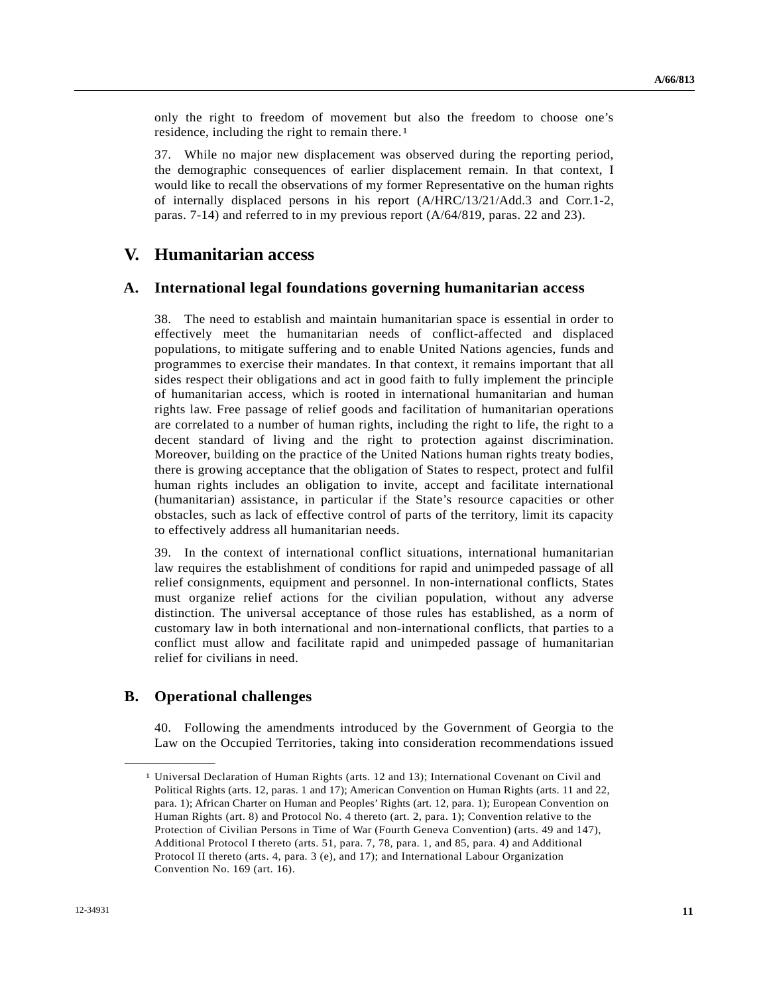only the right to freedom of movement but also the freedom to choose one's residence, including the right to remain there.[1](#page-10-0)

37. While no major new displacement was observed during the reporting period, the demographic consequences of earlier displacement remain. In that context, I would like to recall the observations of my former Representative on the human rights of internally displaced persons in his report (A/HRC/13/21/Add.3 and Corr.1-2, paras. 7-14) and referred to in my previous report (A/64/819, paras. 22 and 23).

### **V. Humanitarian access**

#### **A. International legal foundations governing humanitarian access**

38. The need to establish and maintain humanitarian space is essential in order to effectively meet the humanitarian needs of conflict-affected and displaced populations, to mitigate suffering and to enable United Nations agencies, funds and programmes to exercise their mandates. In that context, it remains important that all sides respect their obligations and act in good faith to fully implement the principle of humanitarian access, which is rooted in international humanitarian and human rights law. Free passage of relief goods and facilitation of humanitarian operations are correlated to a number of human rights, including the right to life, the right to a decent standard of living and the right to protection against discrimination. Moreover, building on the practice of the United Nations human rights treaty bodies, there is growing acceptance that the obligation of States to respect, protect and fulfil human rights includes an obligation to invite, accept and facilitate international (humanitarian) assistance, in particular if the State's resource capacities or other obstacles, such as lack of effective control of parts of the territory, limit its capacity to effectively address all humanitarian needs.

39. In the context of international conflict situations, international humanitarian law requires the establishment of conditions for rapid and unimpeded passage of all relief consignments, equipment and personnel. In non-international conflicts, States must organize relief actions for the civilian population, without any adverse distinction. The universal acceptance of those rules has established, as a norm of customary law in both international and non-international conflicts, that parties to a conflict must allow and facilitate rapid and unimpeded passage of humanitarian relief for civilians in need.

#### **B. Operational challenges**

<span id="page-10-0"></span>**\_\_\_\_\_\_\_\_\_\_\_\_\_\_\_\_\_\_** 

40. Following the amendments introduced by the Government of Georgia to the Law on the Occupied Territories, taking into consideration recommendations issued

<sup>1</sup> Universal Declaration of Human Rights (arts. 12 and 13); International Covenant on Civil and Political Rights (arts. 12, paras. 1 and 17); American Convention on Human Rights (arts. 11 and 22, para. 1); African Charter on Human and Peoples' Rights (art. 12, para. 1); European Convention on Human Rights (art. 8) and Protocol No. 4 thereto (art. 2, para. 1); Convention relative to the Protection of Civilian Persons in Time of War (Fourth Geneva Convention) (arts. 49 and 147), Additional Protocol I thereto (arts. 51, para. 7, 78, para. 1, and 85, para. 4) and Additional Protocol II thereto (arts. 4, para. 3 (e), and 17); and International Labour Organization Convention No. 169 (art. 16).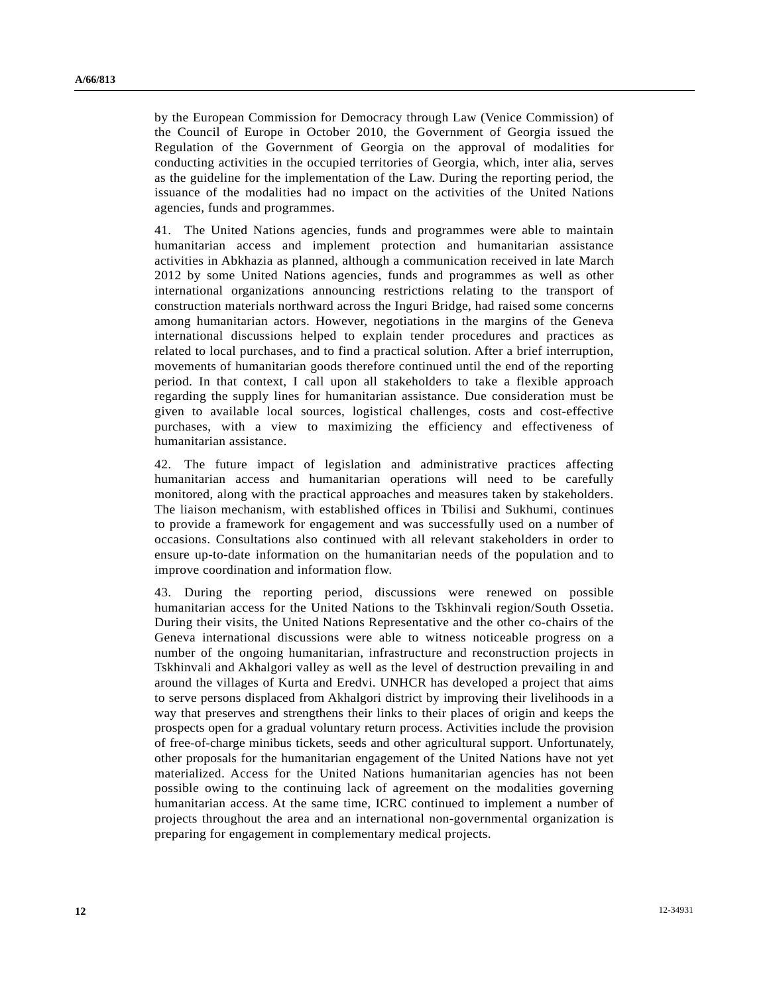by the European Commission for Democracy through Law (Venice Commission) of the Council of Europe in October 2010, the Government of Georgia issued the Regulation of the Government of Georgia on the approval of modalities for conducting activities in the occupied territories of Georgia, which, inter alia, serves as the guideline for the implementation of the Law. During the reporting period, the issuance of the modalities had no impact on the activities of the United Nations agencies, funds and programmes.

41. The United Nations agencies, funds and programmes were able to maintain humanitarian access and implement protection and humanitarian assistance activities in Abkhazia as planned, although a communication received in late March 2012 by some United Nations agencies, funds and programmes as well as other international organizations announcing restrictions relating to the transport of construction materials northward across the Inguri Bridge, had raised some concerns among humanitarian actors. However, negotiations in the margins of the Geneva international discussions helped to explain tender procedures and practices as related to local purchases, and to find a practical solution. After a brief interruption, movements of humanitarian goods therefore continued until the end of the reporting period. In that context, I call upon all stakeholders to take a flexible approach regarding the supply lines for humanitarian assistance. Due consideration must be given to available local sources, logistical challenges, costs and cost-effective purchases, with a view to maximizing the efficiency and effectiveness of humanitarian assistance.

42. The future impact of legislation and administrative practices affecting humanitarian access and humanitarian operations will need to be carefully monitored, along with the practical approaches and measures taken by stakeholders. The liaison mechanism, with established offices in Tbilisi and Sukhumi, continues to provide a framework for engagement and was successfully used on a number of occasions. Consultations also continued with all relevant stakeholders in order to ensure up-to-date information on the humanitarian needs of the population and to improve coordination and information flow.

43. During the reporting period, discussions were renewed on possible humanitarian access for the United Nations to the Tskhinvali region/South Ossetia. During their visits, the United Nations Representative and the other co-chairs of the Geneva international discussions were able to witness noticeable progress on a number of the ongoing humanitarian, infrastructure and reconstruction projects in Tskhinvali and Akhalgori valley as well as the level of destruction prevailing in and around the villages of Kurta and Eredvi. UNHCR has developed a project that aims to serve persons displaced from Akhalgori district by improving their livelihoods in a way that preserves and strengthens their links to their places of origin and keeps the prospects open for a gradual voluntary return process. Activities include the provision of free-of-charge minibus tickets, seeds and other agricultural support. Unfortunately, other proposals for the humanitarian engagement of the United Nations have not yet materialized. Access for the United Nations humanitarian agencies has not been possible owing to the continuing lack of agreement on the modalities governing humanitarian access. At the same time, ICRC continued to implement a number of projects throughout the area and an international non-governmental organization is preparing for engagement in complementary medical projects.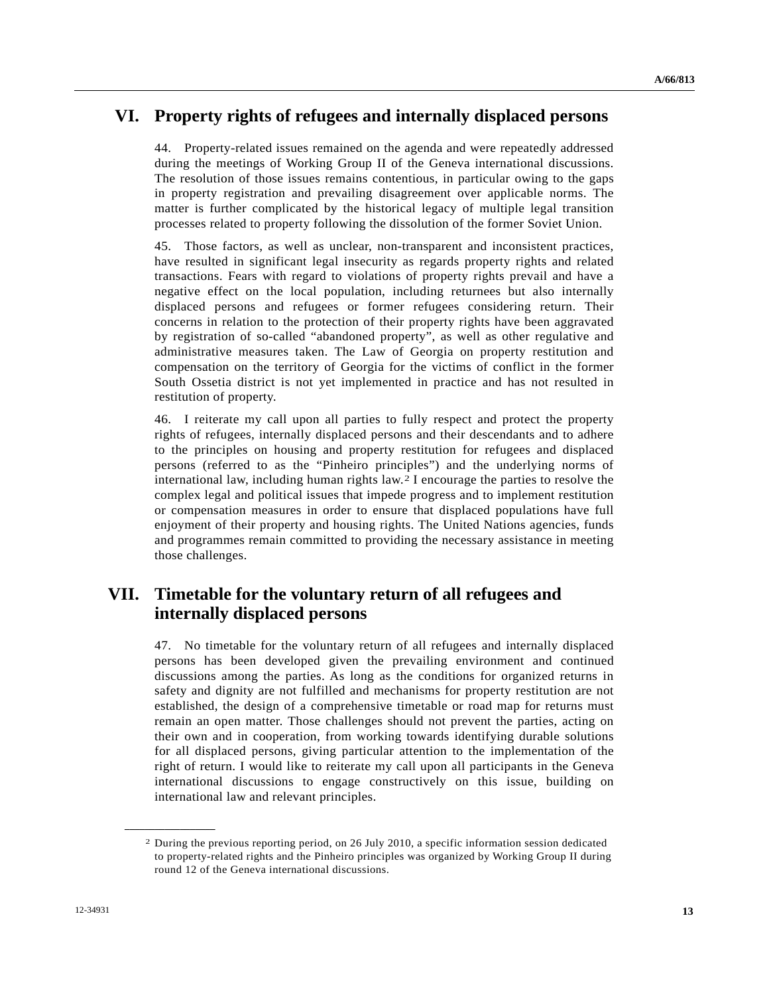# **VI. Property rights of refugees and internally displaced persons**

44. Property-related issues remained on the agenda and were repeatedly addressed during the meetings of Working Group II of the Geneva international discussions. The resolution of those issues remains contentious, in particular owing to the gaps in property registration and prevailing disagreement over applicable norms. The matter is further complicated by the historical legacy of multiple legal transition processes related to property following the dissolution of the former Soviet Union.

45. Those factors, as well as unclear, non-transparent and inconsistent practices, have resulted in significant legal insecurity as regards property rights and related transactions. Fears with regard to violations of property rights prevail and have a negative effect on the local population, including returnees but also internally displaced persons and refugees or former refugees considering return. Their concerns in relation to the protection of their property rights have been aggravated by registration of so-called "abandoned property", as well as other regulative and administrative measures taken. The Law of Georgia on property restitution and compensation on the territory of Georgia for the victims of conflict in the former South Ossetia district is not yet implemented in practice and has not resulted in restitution of property.

46. I reiterate my call upon all parties to fully respect and protect the property rights of refugees, internally displaced persons and their descendants and to adhere to the principles on housing and property restitution for refugees and displaced persons (referred to as the "Pinheiro principles") and the underlying norms of international law, including human rights law.[2](#page-12-0) I encourage the parties to resolve the complex legal and political issues that impede progress and to implement restitution or compensation measures in order to ensure that displaced populations have full enjoyment of their property and housing rights. The United Nations agencies, funds and programmes remain committed to providing the necessary assistance in meeting those challenges.

## **VII. Timetable for the voluntary return of all refugees and internally displaced persons**

47. No timetable for the voluntary return of all refugees and internally displaced persons has been developed given the prevailing environment and continued discussions among the parties. As long as the conditions for organized returns in safety and dignity are not fulfilled and mechanisms for property restitution are not established, the design of a comprehensive timetable or road map for returns must remain an open matter. Those challenges should not prevent the parties, acting on their own and in cooperation, from working towards identifying durable solutions for all displaced persons, giving particular attention to the implementation of the right of return. I would like to reiterate my call upon all participants in the Geneva international discussions to engage constructively on this issue, building on international law and relevant principles.

<span id="page-12-0"></span>**\_\_\_\_\_\_\_\_\_\_\_\_\_\_\_\_\_\_** 

<sup>2</sup> During the previous reporting period, on 26 July 2010, a specific information session dedicated to property-related rights and the Pinheiro principles was organized by Working Group II during round 12 of the Geneva international discussions.